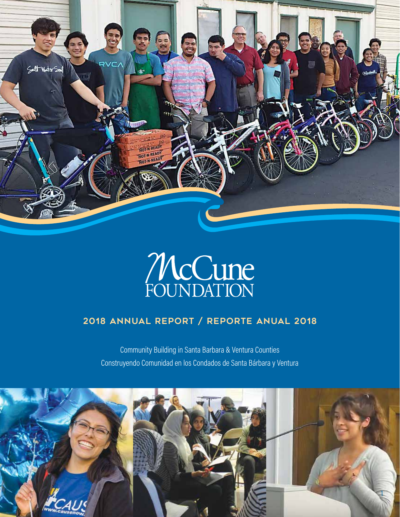

# McCune

# 2018 ANNUAL REPORT / REPORTE ANUAL 2018

Community Building in Santa Barbara & Ventura Counties Construyendo Comunidad en los Condados de Santa Bárbara y Ventura

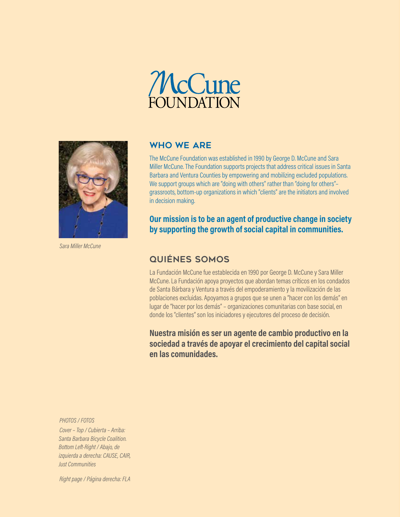



*Sara Miller McCune*

### WHO WE ARE

The McCune Foundation was established in 1990 by George D. McCune and Sara Miller McCune. The Foundation supports projects that address critical issues in Santa Barbara and Ventura Counties by empowering and mobilizing excluded populations. We support groups which are "doing with others" rather than "doing for others"grassroots, bottom-up organizations in which "clients" are the initiators and involved in decision making.

**Our mission is to be an agent of productive change in society by supporting the growth of social capital in communities.**

## QUIÉNES SOMOS

La Fundación McCune fue establecida en 1990 por George D. McCune y Sara Miller McCune. La Fundación apoya proyectos que abordan temas críticos en los condados de Santa Bárbara y Ventura a través del empoderamiento y la movilización de las poblaciones excluidas. Apoyamos a grupos que se unen a "hacer con los demás" en lugar de "hacer por los demás" – organizaciones comunitarias con base social, en donde los "clientes" son los iniciadores y ejecutores del proceso de decisión.

**Nuestra misión es ser un agente de cambio productivo en la sociedad a través de apoyar el crecimiento del capital social en las comunidades.**

*PHOTOS / FOTOS*

*Cover – Top / Cubierta – Arriba: Santa Barbara Bicycle Coalition. Bottom Left-Right / Abajo, de izquierda a derecha: CAUSE, CAIR, Just Communities*

*Right page / Página derecha: FLA*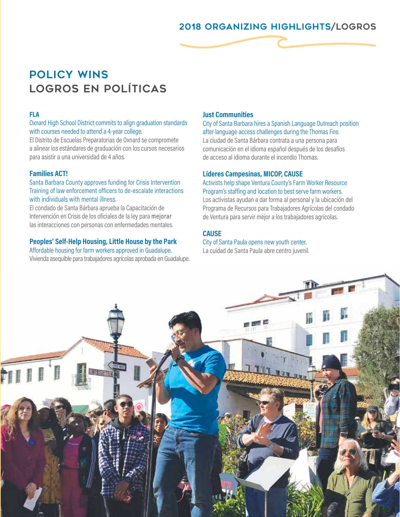## 2018 ORGANIZING HIGHLIGHTS/LOGROS

# POLICY WINS LOGROS EN POLÍTICAS

#### **FLA**

Oxnard High School District commits to align graduation standards with courses needed to attend a 4-year college.

El Distrito de Escuelas Preparatorias de Oxnard se compromete a alinear los estándares de graduación con los cursos necesarios para asistir a una universidad de 4 años.

#### **Families ACT!**

Santa Barbara County approves funding for Crisis Intervention Training of law enforcement officers to de-escalate interactions with individuals with mental illness.

El condado de Santa Bárbara aprueba la Capacitación de Intervención en Crisis de los oficiales de la ley para mejorar las interacciones con personas con enfermedades mentales.

#### **Peoples' Self-Help Housing, Little House by the Park**

Affordable housing for farm workers approved in Guadalupe. Vivienda asequible para trabajadores agrícolas aprobada en Guadalupe.

#### **Just Communities**

City of Santa Barbara hires a Spanish Language Outreach position after language access challenges during the Thomas Fire. La ciudad de Santa Bárbara contrata a una persona para comunicación en el idioma español después de los desafíos de acceso al idioma durante el incendio Thomas.

#### **Líderes Campesinas, MICOP, CAUSE**

Activists help shape Ventura County's Farm Worker Resource Program's staffing and location to best serve farm workers. Los activistas ayudan a dar forma al personal y la ubicación del Programa de Recursos para Trabajadores Agrícolas del condado de Ventura para servir mejor a los trabajadores agrícolas.

#### **CAUSE**

City of Santa Paula opens new youth center. La cuidad de Santa Paula abre centro juvenil.

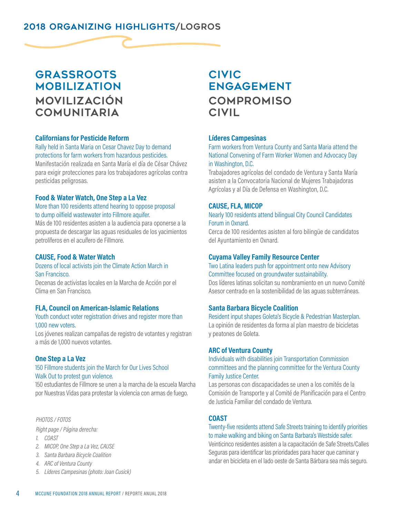## 2018 ORGANIZING HIGHLIGHTS/LOGROS

# **GRASSROOTS** MOBILIZATION MOVILIZACIÓN COMUNITARIA

#### **Californians for Pesticide Reform**

#### Rally held in Santa Maria on Cesar Chavez Day to demand protections for farm workers from hazardous pesticides.

Manifestación realizada en Santa María el día de César Chávez para exigir protecciones para los trabajadores agrícolas contra pesticidas peligrosas.

#### **Food & Water Watch, One Step a La Vez**

#### More than 100 residents attend hearing to oppose proposal to dump oilfield wastewater into Fillmore aquifer.

Más de 100 residentes asisten a la audiencia para oponerse a la propuesta de descargar las aguas residuales de los yacimientos petrolíferos en el acuífero de Fillmore.

#### **CAUSE, Food & Water Watch**

#### Dozens of local activists join the Climate Action March in San Francisco.

Decenas de activistas locales en la Marcha de Acción por el Clima en San Francisco.

#### **FLA, Council on American-Islamic Relations**

#### Youth conduct voter registration drives and register more than 1,000 new voters.

Los jóvenes realizan campañas de registro de votantes y registran a más de 1,000 nuevos votantes.

#### **One Step a La Vez**

#### 150 Fillmore students join the March for Our Lives School Walk Out to protest gun violence.

150 estudiantes de Fillmore se unen a la marcha de la escuela Marcha por Nuestras Vidas para protestar la violencia con armas de fuego.

#### *PHOTOS / FOTOS*

*Right page / Página derecha:*

- *1. COAST*
- *2. MICOP, One Step a La Vez, CAUSE*
- *3. Santa Barbara Bicycle Coalition*
- *4. ARC of Ventura County*
- *5. Líderes Campesinas (photo: Joan Cusick)*

# CIVIC ENGAGEMENT **COMPROMISO** CIVIL

#### **Líderes Campesinas**

Farm workers from Ventura County and Santa Maria attend the National Convening of Farm Worker Women and Advocacy Day in Washington, D.C.

Trabajadores agrícolas del condado de Ventura y Santa María asisten a la Convocatoria Nacional de Mujeres Trabajadoras Agrícolas y al Día de Defensa en Washington, D.C.

#### **CAUSE, FLA, MICOP**

#### Nearly 100 residents attend bilingual City Council Candidates Forum in Oxnard.

Cerca de 100 residentes asisten al foro bilingüe de candidatos del Ayuntamiento en Oxnard.

#### **Cuyama Valley Family Resource Center**

#### Two Latina leaders push for appointment onto new Advisory Committee focused on groundwater sustainability.

Dos líderes latinas solicitan su nombramiento en un nuevo Comité Asesor centrado en la sostenibilidad de las aguas subterráneas.

#### **Santa Barbara Bicycle Coalition**

Resident input shapes Goleta's Bicycle & Pedestrian Masterplan. La opinión de residentes da forma al plan maestro de bicicletas y peatones de Goleta.

#### **ARC of Ventura County**

Individuals with disabilities join Transportation Commission committees and the planning committee for the Ventura County Family Justice Center.

Las personas con discapacidades se unen a los comités de la Comisión de Transporte y al Comité de Planificación para el Centro de Justicia Familiar del condado de Ventura.

#### **COAST**

#### Twenty-five residents attend Safe Streets training to identify priorities to make walking and biking on Santa Barbara's Westside safer.

Veinticinco residentes asisten a la capacitación de Safe Streets/Calles Seguras para identificar las prioridades para hacer que caminar y andar en bicicleta en el lado oeste de Santa Bárbara sea más seguro.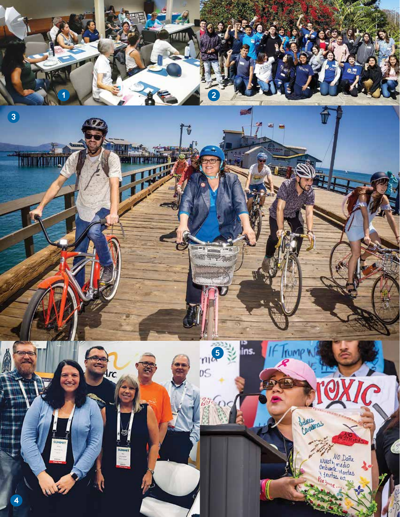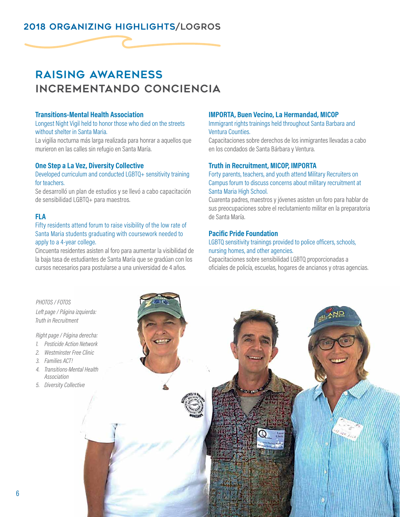# 2018 ORGANIZING HIGHLIGHTS/LOGROS

# RAISING AWARENESS INCREMENTANDO CONCIENCIA

#### **Transitions-Mental Health Association**

Longest Night Vigil held to honor those who died on the streets without shelter in Santa Maria.

La vigilia nocturna más larga realizada para honrar a aquellos que murieron en las calles sin refugio en Santa María.

#### **One Step a La Vez, Diversity Collective**

#### Developed curriculum and conducted LGBTQ+ sensitivity training for teachers.

Se desarrolló un plan de estudios y se llevó a cabo capacitación de sensibilidad LGBTQ+ para maestros.

#### **FLA**

#### Fifty residents attend forum to raise visibility of the low rate of Santa Maria students graduating with coursework needed to apply to a 4-year college.

Cincuenta residentes asisten al foro para aumentar la visibilidad de la baja tasa de estudiantes de Santa María que se gradúan con los cursos necesarios para postularse a una universidad de 4 años.

#### **IMPORTA, Buen Vecino, La Hermandad, MICOP**

Immigrant rights trainings held throughout Santa Barbara and Ventura Counties.

Capacitaciones sobre derechos de los inmigrantes llevadas a cabo en los condados de Santa Bárbara y Ventura.

#### **Truth in Recruitment, MICOP, IMPORTA**

Forty parents, teachers, and youth attend Military Recruiters on Campus forum to discuss concerns about military recruitment at Santa Maria High School.

Cuarenta padres, maestros y jóvenes asisten un foro para hablar de sus preocupaciones sobre el reclutamiento militar en la preparatoria de Santa María.

#### **Pacific Pride Foundation**

#### LGBTQ sensitivity trainings provided to police officers, schools, nursing homes, and other agencies.

Capacitaciones sobre sensibilidad LGBTQ proporcionadas a oficiales de policía, escuelas, hogares de ancianos y otras agencias.

*PHOTOS / FOTOS Left page / Página izquierda:*

*Truth in Recruitment*

*Right page / Página derecha:*

- *1. Pesticide Action Network*
- *2. Westminster Free Clinic*
- *3. Families ACT!*
- *4. Transitions-Mental Health Association*
- *5. Diversity Collective*

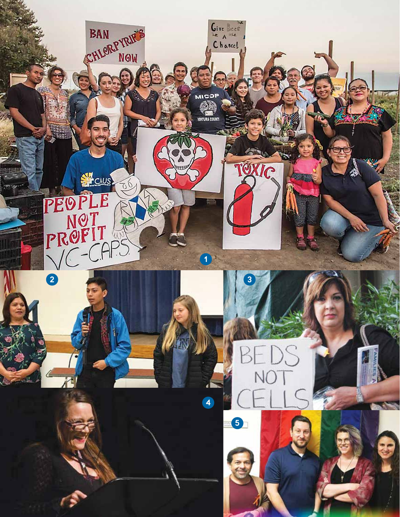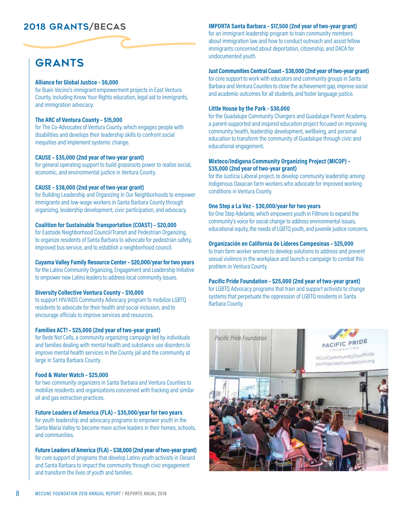# 2018 GRANTS/BECAS

# GRANTS

#### **Alliance for Global Justice – \$6,000**

for Buen Vecino's immigrant empowerment projects in East Ventura County, including Know Your Rights education, legal aid to immigrants, and immigration advocacy.

#### **The ARC of Ventura County – \$15,000**

for The Co-Advocates of Ventura County, which engages people with disabilities and develops their leadership skills to confront social inequities and implement systemic change.

#### **CAUSE – \$35,000 (2nd year of two-year grant)**

for general operating support to build grassroots power to realize social, economic, and environmental justice in Ventura County.

#### **CAUSE – \$38,000 (2nd year of two-year grant)**

for Building Leadership and Organizing in Our Neighborhoods to empower immigrants and low-wage workers in Santa Barbara County through organizing, leadership development, civic participation, and advocacy.

#### **Coalition for Sustainable Transportation (COAST) – \$20,000**

for Eastside Neighborhood Council/Transit and Pedestrian Organizing, to organize residents of Santa Barbara to advocate for pedestrian safety, improved bus service, and to establish a neighborhood council.

#### **Cuyama Valley Family Resource Center – \$20,000/year for two years**

for the Latino Community Organizing, Engagement and Leadership Initiative to empower new Latino leaders to address local community issues.

#### **Diversity Collective Ventura County – \$10,000**

to support HIV/AIDS Community Advocacy program to mobilize LGBTQ residents to advocate for their health and social inclusion, and to encourage officials to improve services and resources.

#### **Families ACT! – \$25,000 (2nd year of two-year grant)**

for Beds Not Cells, a community organizing campaign led by individuals and families dealing with mental health and substance use disorders to improve mental health services in the County jail and the community at large in Santa Barbara County.

#### **Food & Water Watch – \$25,000**

for two community organizers in Santa Barbara and Ventura Counties to mobilize residents and organizations concerned with fracking and similar oil and gas extraction practices.

#### **Future Leaders of America (FLA) – \$35,000/year for two years**

for youth leadership and advocacy programs to empower youth in the Santa Maria Valley to become more active leaders in their homes, schools, and communities.

**Future Leaders of America (FLA) – \$38,000 (2nd year of two-year grant)** for core support of programs that develop Latino youth activists in Oxnard and Santa Barbara to impact the community through civic engagement and transform the lives of youth and families.

#### **IMPORTA Santa Barbara – \$17,500 (2nd year of two-year grant)**

for an immigrant leadership program to train community members about immigration law and how to conduct outreach and assist fellow immigrants concerned about deportation, citizenship, and DACA for undocumented youth.

#### **Just Communities Central Coast – \$38,000 (2nd year of two-year grant)**

for core support to work with educators and community groups in Santa Barbara and Ventura Counties to close the achievement gap, improve social and academic outcomes for all students, and foster language justice.

#### **Little House by the Park – \$30,000**

for the Guadalupe Community Changers and Guadalupe Parent Academy, a parent-supported and inspired education project focused on improving community health, leadership development, wellbeing, and personal education to transform the community of Guadalupe through civic and educational engagement.

#### **Mixteco/Indigena Community Organizing Project (MICOP) – \$35,000 (2nd year of two-year grant)**

for the Justicia Laboral project, to develop community leadership among indigenous Oaxacan farm workers who advocate for improved working conditions in Ventura County.

#### **One Step a La Vez – \$30,000/year for two years**

for One Step Adelante, which empowers youth in Fillmore to expand the community's voice for social change to address environmental issues, educational equity, the needs of LGBTQ youth, and juvenile justice concerns.

#### **Organización en California de Líderes Campesinas – \$25,000**

to train farm worker women to develop solutions to address and prevent sexual violence in the workplace and launch a campaign to combat this problem in Ventura County.

#### **Pacific Pride Foundation – \$25,000 (2nd year of two-year grant)**

for LGBTQ Advocacy programs that train and support activists to change systems that perpetuate the oppression of LGBTQ residents in Santa Barbara County.

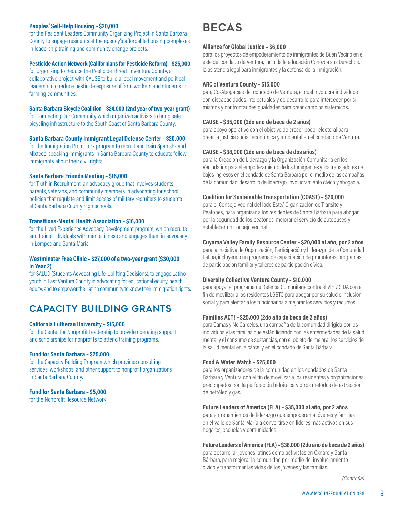#### **Peoples' Self-Help Housing – \$20,000**

for the Resident Leaders Community Organizing Project in Santa Barbara County to engage residents at the agency's affordable housing complexes in leadership training and community change projects.

#### **Pesticide Action Network (Californians for Pesticide Reform) – \$25,000**

for Organizing to Reduce the Pesticide Threat in Ventura County, a collaborative project with CAUSE to build a local movement and political leadership to reduce pesticide exposure of farm workers and students in farming communities.

**Santa Barbara Bicycle Coalition – \$24,000 (2nd year of two-year grant)** for Connecting Our Community which organizes activists to bring safe bicycling infrastructure to the South Coast of Santa Barbara County.

#### **Santa Barbara County Immigrant Legal Defense Center – \$20,000**

for the Immigration Promotorx program to recruit and train Spanish- and Mixteco-speaking immigrants in Santa Barbara County to educate fellow immigrants about their civil rights.

#### **Santa Barbara Friends Meeting – \$16,000**

for Truth in Recruitment, an advocacy group that involves students, parents, veterans, and community members in advocating for school policies that regulate and limit access of military recruiters to students at Santa Barbara County high schools.

#### **Transitions-Mental Health Association – \$16,000**

for the Lived Experience Advocacy Development program, which recruits and trains individuals with mental illness and engages them in advocacy in Lompoc and Santa Maria.

#### **Westminster Free Clinic – \$27,000 of a two-year grant (\$30,000 in Year 2)**

for SALUD (Students Advocating Life-Uplifting Decisions), to engage Latino youth in East Ventura County in advocating for educational equity, health equity, and to empower the Latino community to know their immigration rights.

# CAPACITY BUILDING GRANTS

#### **California Lutheran University – \$15,000**

for the Center for Nonprofit Leadership to provide operating support and scholarships for nonprofits to attend training programs.

#### **Fund for Santa Barbara – \$25,000**

for the Capacity Building Program which provides consulting services, workshops, and other support to nonprofit organizations in Santa Barbara County.

#### **Fund for Santa Barbara – \$5,000**

for the Nonprofit Resource Network

# BECAS

#### **Alliance for Global Justice – \$6,000**

para los proyectos de empoderamiento de inmigrantes de Buen Vecino en el este del condado de Ventura, incluida la educación Conozca sus Derechos, la asistencia legal para inmigrantes y la defensa de la inmigración.

#### **ARC of Ventura County – \$15,000**

para Co-Abogacías del condado de Ventura, el cual involucra individuos con discapacidades intelectuales y de desarrollo para interceder por sí mismos y confrontar desigualdades para crear cambios sistémicos.

#### **CAUSE – \$35,000 (2do año de beca de 2 años)**

para apoyo operativo con el objetivo de crecer poder electoral para crear la justicia social, económica y ambiental en el condado de Ventura.

#### **CAUSE – \$38,000 (2do año de beca de dos años)**

para la Creación de Liderazgo y la Organización Comunitaria en los Vecindarios para el empoderamiento de los Inmigrantes y los trabajadores de bajos ingresos en el condado de Santa Bárbara por el medio de las campañas de la comunidad, desarrollo de liderazgo, involucramiento cívico y abogacía.

#### **Coalition for Sustainable Transportation (COAST) – \$20,000**

para el Consejo Vecinal del lado Este/ Organización de Tránsito y Peatones, para organizar a los residentes de Santa Bárbara para abogar por la seguridad de los peatones, mejorar el servicio de autobuses y establecer un consejo vecinal.

#### **Cuyama Valley Family Resource Center – \$20,000 al año, por 2 años**

para la Iniciativa de Organización, Participación y Liderazgo de la Comunidad Latina, incluyendo un programa de capacitación de promotoras, programas de participación familiar y talleres de participación cívica.

#### **Diversity Collective Ventura County – \$10,000**

para apoyar el programa de Defensa Comunitaria contra el VIH / SIDA con el fin de movilizar a los residentes LGBTQ para abogar por su salud e inclusión social y para alentar a los funcionarios a mejorar los servicios y recursos.

#### **Families ACT! – \$25,000 (2do año de beca de 2 años)**

para Camas y No Cárceles, una campaña de la comunidad dirigida por los individuos y las familias que están lidiando con las enfermedades de la salud mental y el consumo de sustancias, con el objeto de mejorar los servicios de la salud mental en la cárcel y en el condado de Santa Bárbara.

#### **Food & Water Watch – \$25,000**

para los organizadores de la comunidad en los condados de Santa Bárbara y Ventura con el fin de movilizar a los residentes y organizaciones preocupados con la perforación hidráulica y otros métodos de extracción de petróleo y gas.

#### **Future Leaders of America (FLA) – \$35,000 al año, por 2 años**

para entrenamientos de liderazgo que empoderan a jóvenes y familias en el valle de Santa María a convertirse en líderes más activos en sus hogares, escuelas y comunidades.

#### **Future Leaders of America (FLA) – \$38,000 (2do año de beca de 2 años)**

para desarrollar jóvenes latinos como activistas en Oxnard y Santa Bárbara, para mejorar la comunidad por medio del involucramiento cívico y transformar las vidas de los jóvenes y las familias.

*(Continúa)*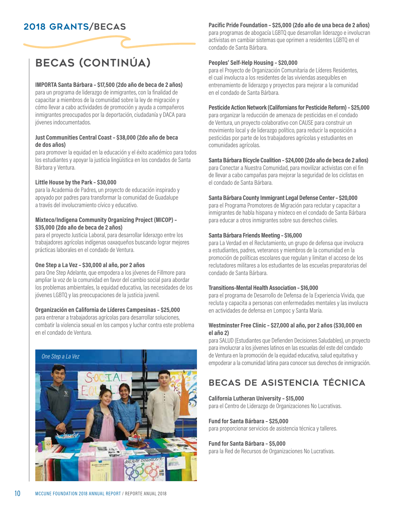# 2018 GRANTS/BECAS

# BECAS (CONTINÚA)

#### **IMPORTA Santa Bárbara – \$17,500 (2do año de beca de 2 años)**

para un programa de liderazgo de inmigrantes, con la finalidad de capacitar a miembros de la comunidad sobre la ley de migración y cómo llevar a cabo actividades de promoción y ayuda a compañeros inmigrantes preocupados por la deportación, ciudadanía y DACA para jóvenes indocumentados.

#### **Just Communities Central Coast – \$38,000 (2do año de beca de dos años)**

para promover la equidad en la educación y el éxito académico para todos los estudiantes y apoyar la justicia lingüística en los condados de Santa Bárbara y Ventura.

#### **Little House by the Park – \$30,000**

para la Academia de Padres, un proyecto de educación inspirado y apoyado por padres para transformar la comunidad de Guadalupe a través del involucramiento cívico y educativo.

#### **Mixteco/Indigena Community Organizing Project (MICOP) – \$35,000 (2do año de beca de 2 años)**

para el proyecto Justicia Laboral, para desarrollar liderazgo entre los trabajadores agrícolas indígenas oaxaqueños buscando lograr mejores prácticas laborales en el condado de Ventura.

#### **One Step a La Vez – \$30,000 al año, por 2 años**

para One Step Adelante, que empodera a los jóvenes de Fillmore para ampliar la voz de la comunidad en favor del cambio social para abordar los problemas ambientales, la equidad educativa, las necesidades de los jóvenes LGBTQ y las preocupaciones de la justicia juvenil.

#### **Organización en California de Líderes Campesinas – \$25,000**

para entrenar a trabajadoras agrícolas para desarrollar soluciones, combatir la violencia sexual en los campos y luchar contra este problema en el condado de Ventura.



#### **Pacific Pride Foundation – \$25,000 (2do año de una beca de 2 años)**

para programas de abogacía LGBTQ que desarrollan liderazgo e involucran activistas en cambiar sistemas que oprimen a residentes LGBTQ en el condado de Santa Bárbara.

#### **Peoples' Self-Help Housing – \$20,000**

para el Proyecto de Organización Comunitaria de Líderes Residentes, el cual involucra a los residentes de las viviendas asequibles en entrenamiento de liderazgo y proyectos para mejorar a la comunidad en el condado de Santa Bárbara.

#### **Pesticide Action Network (Californians for Pesticide Reform) – \$25,000**

para organizar la reducción de amenaza de pesticidas en el condado de Ventura, un proyecto colaborativo con CAUSE para construir un movimiento local y de liderazgo político, para reducir la exposición a pesticidas por parte de los trabajadores agrícolas y estudiantes en comunidades agrícolas.

#### **Santa Bárbara Bicycle Coalition – \$24,000 (2do año de beca de 2 años)**

para Conectar a Nuestra Comunidad, para movilizar activistas con el fin de llevar a cabo campañas para mejorar la seguridad de los ciclistas en el condado de Santa Bárbara.

#### **Santa Bárbara County Immigrant Legal Defense Center – \$20,000**

para el Programa Promotores de Migración para reclutar y capacitar a inmigrantes de habla hispana y mixteco en el condado de Santa Bárbara para educar a otros inmigrantes sobre sus derechos civiles.

#### **Santa Bárbara Friends Meeting – \$16,000**

para La Verdad en el Reclutamiento, un grupo de defensa que involucra a estudiantes, padres, veteranos y miembros de la comunidad en la promoción de políticas escolares que regulan y limitan el acceso de los reclutadores militares a los estudiantes de las escuelas preparatorias del condado de Santa Bárbara.

#### **Transitions-Mental Health Association – \$16,000**

para el programa de Desarrollo de Defensa de la Experiencia Vivida, que recluta y capacita a personas con enfermedades mentales y las involucra en actividades de defensa en Lompoc y Santa María.

#### **Westminster Free Clinic – \$27,000 al año, por 2 años (\$30,000 en el año 2)**

para SALUD (Estudiantes que Defienden Decisiones Saludables), un proyecto para involucrar a los jóvenes latinos en las escuelas del este del condado de Ventura en la promoción de la equidad educativa, salud equitativa y empoderar a la comunidad latina para conocer sus derechos de inmigración.

# BECAS DE ASISTENCIA TÉCNICA

#### **California Lutheran University – \$15,000**

para el Centro de Liderazgo de Organizaciones No Lucrativas.

#### **Fund for Santa Bárbara – \$25,000**

para proporcionar servicios de asistencia técnica y talleres.

#### **Fund for Santa Bárbara – \$5,000**

para la Red de Recursos de Organizaciones No Lucrativas.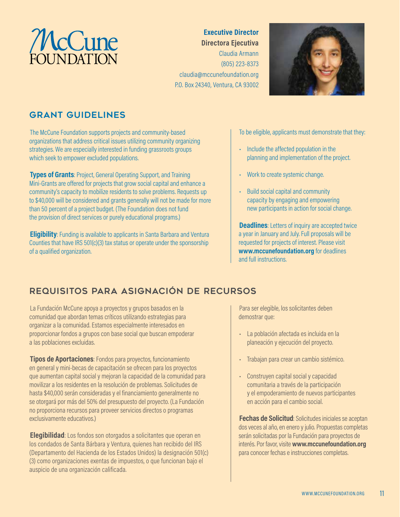

**Executive Director Directora Ejecutiva** Claudia Armann

(805) 223-8373 claudia@mccunefoundation.org P.O. Box 24340, Ventura, CA 93002



## GRANT GUIDELINES

The McCune Foundation supports projects and community-based organizations that address critical issues utilizing community organizing strategies. We are especially interested in funding grassroots groups which seek to empower excluded populations.

**Types of Grants**: Project, General Operating Support, and Training Mini-Grants are offered for projects that grow social capital and enhance a community's capacity to mobilize residents to solve problems. Requests up to \$40,000 will be considered and grants generally will not be made for more than 50 percent of a project budget. (The Foundation does not fund the provision of direct services or purely educational programs.)

**Eligibility:** Funding is available to applicants in Santa Barbara and Ventura Counties that have IRS 501(c)(3) tax status or operate under the sponsorship of a qualified organization.

To be eligible, applicants must demonstrate that they:

- Include the affected population in the planning and implementation of the project.
- Work to create systemic change.
- Build social capital and community capacity by engaging and empowering new participants in action for social change.

**Deadlines:** Letters of inquiry are accepted twice a year in January and July. Full proposals will be requested for projects of interest. Please visit **www.mccunefoundation.org** for deadlines and full instructions.

# REQUISITOS PARA ASIGNACIÓN DE RECURSOS

La Fundación McCune apoya a proyectos y grupos basados en la comunidad que abordan temas críticos utilizando estrategias para organizar a la comunidad. Estamos especialmente interesados en proporcionar fondos a grupos con base social que buscan empoderar a las poblaciones excluidas.

**Tipos de Aportaciones**: Fondos para proyectos, funcionamiento en general y mini-becas de capacitación se ofrecen para los proyectos que aumentan capital social y mejoran la capacidad de la comunidad para movilizar a los residentes en la resolución de problemas. Solicitudes de hasta \$40,000 serán consideradas y el financiamiento generalmente no se otorgará por más del 50% del presupuesto del proyecto. (La Fundación no proporciona recursos para proveer servicios directos o programas exclusivamente educativos.)

**Elegibilidad**: Los fondos son otorgados a solicitantes que operan en los condados de Santa Bárbara y Ventura, quienes han recibido del IRS (Departamento del Hacienda de los Estados Unidos) la designación 501(c) (3) como organizaciones exentas de impuestos, o que funcionan bajo el auspicio de una organización calificada.

Para ser elegible, los solicitantes deben demostrar que:

- La población afectada es incluida en la planeación y ejecución del proyecto.
- Trabajan para crear un cambio sistémico.
- Construyen capital social y capacidad comunitaria a través de la participación y el empoderamiento de nuevos participantes en acción para el cambio social.

**Fechas de Solicitud**: Solicitudes iniciales se aceptan dos veces al año, en enero y julio. Propuestas completas serán solicitadas por la Fundación para proyectos de interés. Por favor, visite **www.mccunefoundation.org** para conocer fechas e instrucciones completas.